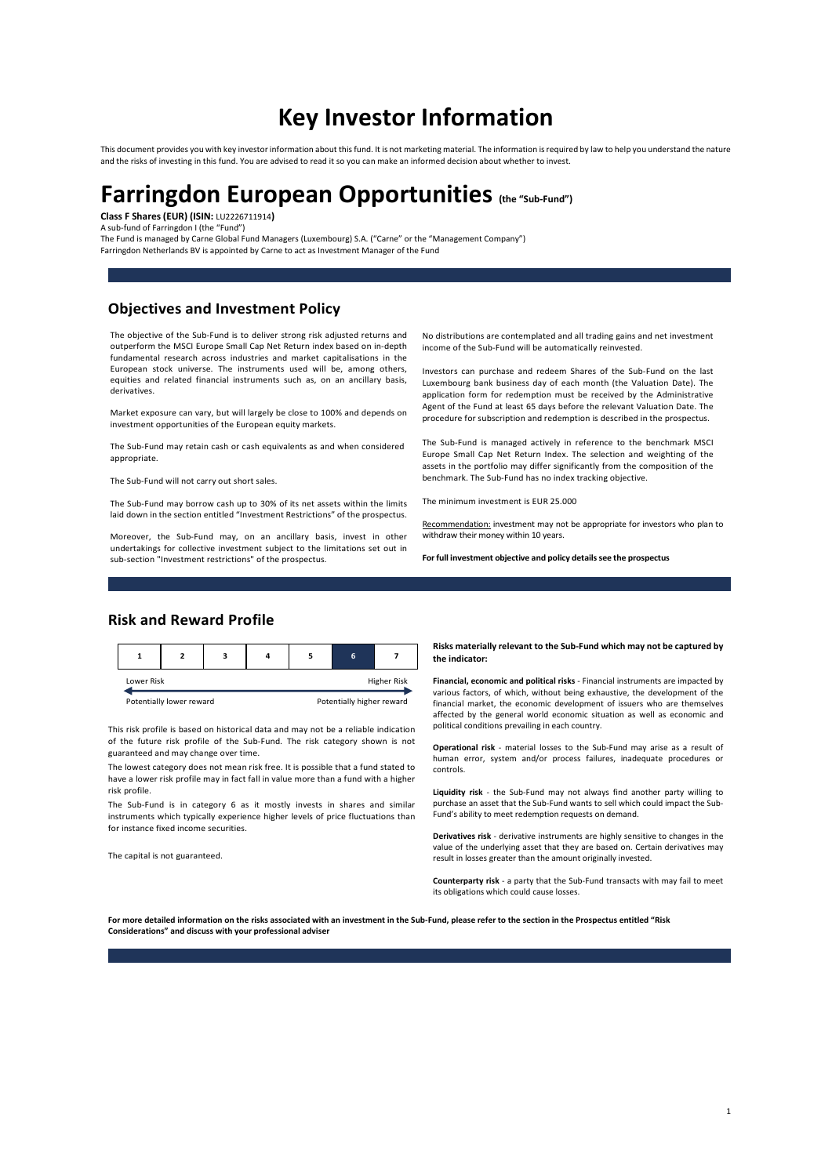# Key Investor Information

This document provides you with key investor information about this fund. It is not marketing material. The information is required by law to help you understand the nature and the risks of investing in this fund. You are advised to read it so you can make an informed decision about whether to invest.

# Farringdon European Opportunities (the "Sub-Fund") Class F Shares (EUR) (ISIN: LU2226711914)

A sub-fund of Farringdon I (the "Fund")

The Fund is managed by Carne Global Fund Managers (Luxembourg) S.A. ("Carne" or the "Management Company") Farringdon Netherlands BV is appointed by Carne to act as Investment Manager of the Fund

## Objectives and Investment Policy

The objective of the Sub-Fund is to deliver strong risk adjusted returns and outperform the MSCI Europe Small Cap Net Return index based on in-depth fundamental research across industries and market capitalisations in the European stock universe. The instruments used will be, among others, equities and related financial instruments such as, on an ancillary basis, derivatives.

Market exposure can vary, but will largely be close to 100% and depends on investment opportunities of the European equity markets.

The Sub-Fund may retain cash or cash equivalents as and when considered appropriate.

The Sub-Fund will not carry out short sales.

The Sub-Fund may borrow cash up to 30% of its net assets within the limits laid down in the section entitled "Investment Restrictions" of the prospectus.

Moreover, the Sub-Fund may, on an ancillary basis, invest in other undertakings for collective investment subject to the limitations set out in sub-section "Investment restrictions" of the prospectus.

No distributions are contemplated and all trading gains and net investment income of the Sub-Fund will be automatically reinvested.

Investors can purchase and redeem Shares of the Sub-Fund on the last Luxembourg bank business day of each month (the Valuation Date). The application form for redemption must be received by the Administrative Agent of the Fund at least 65 days before the relevant Valuation Date. The procedure for subscription and redemption is described in the prospectus.

The Sub-Fund is managed actively in reference to the benchmark MSCI Europe Small Cap Net Return Index. The selection and weighting of the assets in the portfolio may differ significantly from the composition of the benchmark. The Sub-Fund has no index tracking objective.

The minimum investment is EUR 25.000

Recommendation: investment may not be appropriate for investors who plan to withdraw their money within 10 years.

For full investment objective and policy details see the prospectus

## Risk and Reward Profile

|                             |  |  |  |  |                                            |                    | Risks materially relevant to the Sub-Fund which may not be captured by<br>the indicator:                                                                       |
|-----------------------------|--|--|--|--|--------------------------------------------|--------------------|----------------------------------------------------------------------------------------------------------------------------------------------------------------|
| Lower Risk                  |  |  |  |  |                                            | <b>Higher Risk</b> | Financial, economic and political risks - Financial instruments are impacted by<br>various factors, of which, without being exhaustive, the development of the |
| Desarate the Leoner account |  |  |  |  | Districted at the fact who was a second at |                    |                                                                                                                                                                |

This risk profile is based on historical data and may not be a reliable indication of the future risk profile of the Sub-Fund. The risk category shown is not guaranteed and may change over time.

The lowest category does not mean risk free. It is possible that a fund stated to have a lower risk profile may in fact fall in value more than a fund with a higher risk profile.

The Sub-Fund is in category 6 as it mostly invests in shares and similar instruments which typically experience higher levels of price fluctuations than for instance fixed income securities.

The capital is not guaranteed.

Risks materially relevant to the Sub-Fund which may not be captured by

Potentially lower reward **Potentially higher reward** financial market, the economic development of issuers who are themselves various factors, of which, without being exhaustive, the development of the affected by the general world economic situation as well as economic and political conditions prevailing in each country.

> Operational risk - material losses to the Sub-Fund may arise as a result of human error, system and/or process failures, inadequate procedures or controls.

> Liquidity risk - the Sub-Fund may not always find another party willing to purchase an asset that the Sub-Fund wants to sell which could impact the Sub-.<br>Fund's ability to meet redemption requests on demand.

> Derivatives risk - derivative instruments are highly sensitive to changes in the value of the underlying asset that they are based on. Certain derivatives may result in losses greater than the amount originally invested.

> Counterparty risk - a party that the Sub-Fund transacts with may fail to meet its obligations which could cause losses

For more detailed information on the risks associated with an investment in the Sub-Fund, please refer to the section in the Prospectus entitled "Risk Considerations" and discuss with your professional adviser